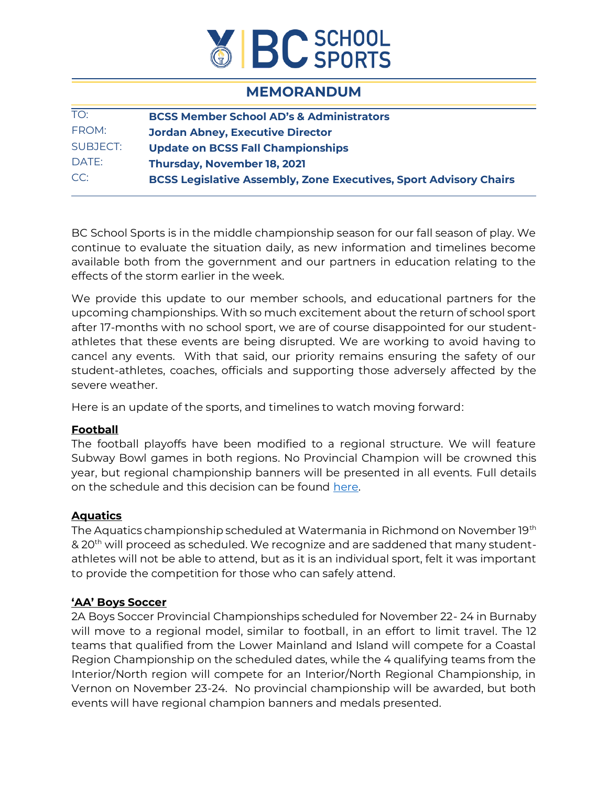

# **MEMORANDUM**

| <b>BCSS Member School AD's &amp; Administrators</b>                      |
|--------------------------------------------------------------------------|
| <b>Jordan Abney, Executive Director</b>                                  |
| <b>Update on BCSS Fall Championships</b>                                 |
| <b>Thursday, November 18, 2021</b>                                       |
| <b>BCSS Legislative Assembly, Zone Executives, Sport Advisory Chairs</b> |
|                                                                          |

BC School Sports is in the middle championship season for our fall season of play. We continue to evaluate the situation daily, as new information and timelines become available both from the government and our partners in education relating to the effects of the storm earlier in the week.

We provide this update to our member schools, and educational partners for the upcoming championships. With so much excitement about the return of school sport after 17-months with no school sport, we are of course disappointed for our studentathletes that these events are being disrupted. We are working to avoid having to cancel any events. With that said, our priority remains ensuring the safety of our student-athletes, coaches, officials and supporting those adversely affected by the severe weather.

Here is an update of the sports, and timelines to watch moving forward:

# **Football**

The football playoffs have been modified to a regional structure. We will feature Subway Bowl games in both regions. No Provincial Champion will be crowned this year, but regional championship banners will be presented in all events. Full details on the schedule and this decision can be found [here.](https://www.bcschoolsports.ca/sites/default/files/files/news/pdf/Football%20Playoff%20Update%20-%20November%2017%202021.pdf)

# **Aquatics**

The Aquatics championship scheduled at Watermania in Richmond on November 19th & 20th will proceed as scheduled. We recognize and are saddened that many studentathletes will not be able to attend, but as it is an individual sport, felt it was important to provide the competition for those who can safely attend.

# **'AA' Boys Soccer**

2A Boys Soccer Provincial Championships scheduled for November 22- 24 in Burnaby will move to a regional model, similar to football, in an effort to limit travel. The 12 teams that qualified from the Lower Mainland and Island will compete for a Coastal Region Championship on the scheduled dates, while the 4 qualifying teams from the Interior/North region will compete for an Interior/North Regional Championship, in Vernon on November 23-24. No provincial championship will be awarded, but both events will have regional champion banners and medals presented.